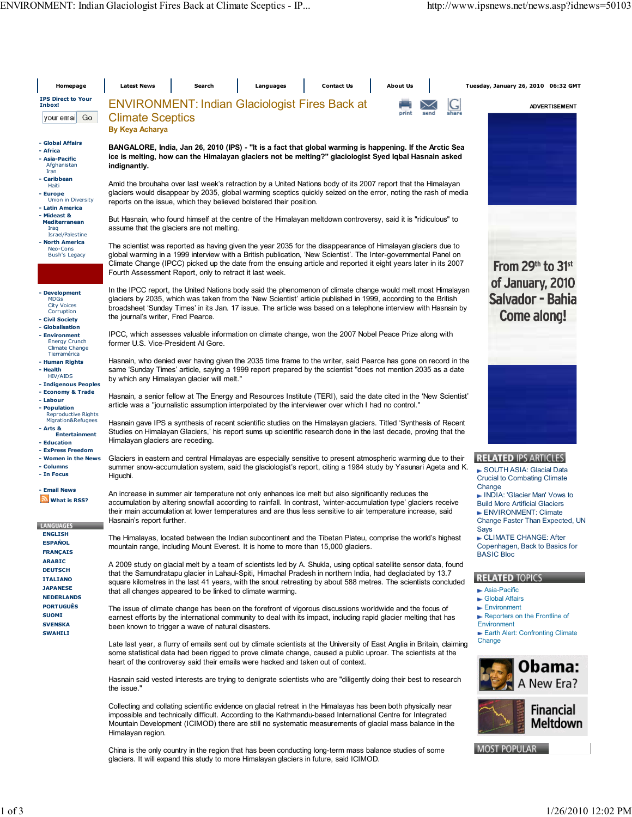| Homepage                                                                                   | <b>Latest News</b><br><b>Contact Us</b><br><b>About Us</b><br>Search<br>Languages                                                                                                                                                                                                                                                                                                                                | Tuesday, January 26, 2010 06:32 GMT                                                                                                        |  |  |  |  |
|--------------------------------------------------------------------------------------------|------------------------------------------------------------------------------------------------------------------------------------------------------------------------------------------------------------------------------------------------------------------------------------------------------------------------------------------------------------------------------------------------------------------|--------------------------------------------------------------------------------------------------------------------------------------------|--|--|--|--|
| <b>IPS Direct to Your</b><br>Inbox!                                                        | <b>ENVIRONMENT: Indian Glaciologist Fires Back at</b><br>ى                                                                                                                                                                                                                                                                                                                                                       | <b>ADVERTISEMENT</b>                                                                                                                       |  |  |  |  |
| Go<br>your emai                                                                            | share<br>nrint<br>send<br><b>Climate Sceptics</b><br>By Keya Acharya                                                                                                                                                                                                                                                                                                                                             |                                                                                                                                            |  |  |  |  |
| - Global Affairs<br>- Africa<br>- Asia-Pacific<br>Afghanistan<br>Iran                      | BANGALORE, India, Jan 26, 2010 (IPS) - "It is a fact that global warming is happening. If the Arctic Sea<br>ice is melting, how can the Himalayan glaciers not be melting?" glaciologist Syed Iqbal Hasnain asked<br>indignantly.                                                                                                                                                                                |                                                                                                                                            |  |  |  |  |
| - Caribbean<br>Haiti<br>- Europe<br>Union in Diversity<br>- Latin America                  | Amid the brouhaha over last week's retraction by a United Nations body of its 2007 report that the Himalayan<br>glaciers would disappear by 2035, global warming sceptics quickly seized on the error, noting the rash of media<br>reports on the issue, which they believed bolstered their position.                                                                                                           |                                                                                                                                            |  |  |  |  |
| - Mideast &<br><b>Mediterranean</b><br>Iraq<br>Israel/Palestine                            | But Hasnain, who found himself at the centre of the Himalayan meltdown controversy, said it is "ridiculous" to<br>assume that the glaciers are not melting.                                                                                                                                                                                                                                                      |                                                                                                                                            |  |  |  |  |
| - North America<br>Neo-Cons<br><b>Bush's Legacy</b>                                        | The scientist was reported as having given the year 2035 for the disappearance of Himalayan glaciers due to<br>global warming in a 1999 interview with a British publication, 'New Scientist'. The Inter-governmental Panel on<br>Climate Change (IPCC) picked up the date from the ensuing article and reported it eight years later in its 2007<br>Fourth Assessment Report, only to retract it last week.     | From $29th$ to $31st$<br>of January, 2010                                                                                                  |  |  |  |  |
| - Development<br><b>MDGs</b><br><b>City Voices</b><br>Corruption<br>- Civil Society        | In the IPCC report, the United Nations body said the phenomenon of climate change would melt most Himalayan<br>glaciers by 2035, which was taken from the 'New Scientist' article published in 1999, according to the British<br>broadsheet 'Sunday Times' in its Jan. 17 issue. The article was based on a telephone interview with Hasnain by<br>the journal's writer, Fred Pearce.                            | Salvador - Bahia<br>Come along!                                                                                                            |  |  |  |  |
| - Globalisation<br>- Environment<br><b>Energy Crunch</b><br><b>Climate Change</b>          | IPCC, which assesses valuable information on climate change, won the 2007 Nobel Peace Prize along with<br>former U.S. Vice-President AI Gore.                                                                                                                                                                                                                                                                    |                                                                                                                                            |  |  |  |  |
| Tierramérica<br>- Human Rights<br>- Health<br>HIV/AIDS<br>- Indigenous Peoples             | Hasnain, who denied ever having given the 2035 time frame to the writer, said Pearce has gone on record in the<br>same 'Sunday Times' article, saying a 1999 report prepared by the scientist "does not mention 2035 as a date<br>by which any Himalayan glacier will melt."                                                                                                                                     |                                                                                                                                            |  |  |  |  |
| - Economy & Trade<br>- Labour<br>- Population<br><b>Reproductive Rights</b>                | Hasnain, a senior fellow at The Energy and Resources Institute (TERI), said the date cited in the 'New Scientist'<br>article was a "journalistic assumption interpolated by the interviewer over which I had no control."                                                                                                                                                                                        |                                                                                                                                            |  |  |  |  |
| Migration&Refugees<br>- Arts &<br><b>Entertainment</b><br>- Education<br>- ExPress Freedom | Hasnain gave IPS a synthesis of recent scientific studies on the Himalayan glaciers. Titled 'Synthesis of Recent<br>Studies on Himalayan Glaciers,' his report sums up scientific research done in the last decade, proving that the<br>Himalayan glaciers are receding.                                                                                                                                         |                                                                                                                                            |  |  |  |  |
| - Women in the News<br>- Columns<br>- In Focus                                             | Glaciers in eastern and central Himalayas are especially sensitive to present atmospheric warming due to their<br>summer snow-accumulation system, said the glaciologist's report, citing a 1984 study by Yasunari Ageta and K.<br>Higuchi.                                                                                                                                                                      | <b>RELATED IPS ARTICLES</b><br>SOUTH ASIA: Glacial Data<br><b>Crucial to Combating Climate</b>                                             |  |  |  |  |
| - Email News<br>What is RSS?<br><b>LANGUAGES</b>                                           | An increase in summer air temperature not only enhances ice melt but also significantly reduces the<br>accumulation by altering snowfall according to rainfall. In contrast, 'winter-accumulation type' glaciers receive<br>their main accumulation at lower temperatures and are thus less sensitive to air temperature increase, said<br>Hasnain's report further.                                             | Change<br>INDIA: 'Glacier Man' Vows to<br><b>Build More Artificial Glaciers</b><br>ENVIRONMENT: Climate<br>Change Faster Than Expected, UN |  |  |  |  |
| <b>ENGLISH</b><br><b>ESPAÑOL</b><br><b>FRANÇAIS</b>                                        | The Himalayas, located between the Indian subcontinent and the Tibetan Plateu, comprise the world's highest<br>mountain range, including Mount Everest. It is home to more than 15,000 glaciers.                                                                                                                                                                                                                 | Says<br>CLIMATE CHANGE: After<br>Copenhagen, Back to Basics for<br><b>BASIC Bloc</b>                                                       |  |  |  |  |
| <b>ARABIC</b><br><b>DEUTSCH</b><br><b>ITALIANO</b><br><b>JAPANESE</b><br><b>NEDERLANDS</b> | A 2009 study on glacial melt by a team of scientists led by A. Shukla, using optical satellite sensor data, found<br>that the Samundratapu glacier in Lahaul-Spiti, Himachal Pradesh in northern India, had deglaciated by 13.7<br>square kilometres in the last 41 years, with the snout retreating by about 588 metres. The scientists concluded<br>that all changes appeared to be linked to climate warming. | <b>RELATED TOPICS</b><br>$\blacktriangleright$ Asia-Pacific<br>Global Affairs                                                              |  |  |  |  |
| <b>PORTUGUÊS</b><br><b>SUOMI</b><br><b>SVENSKA</b><br><b>SWAHILI</b>                       | The issue of climate change has been on the forefront of vigorous discussions worldwide and the focus of<br>earnest efforts by the international community to deal with its impact, including rapid glacier melting that has<br>been known to trigger a wave of natural disasters.                                                                                                                               | $\blacktriangleright$ Environment<br>Reporters on the Frontline of<br>Environment<br>Earth Alert: Confronting Climate<br>Change            |  |  |  |  |
|                                                                                            | Late last year, a flurry of emails sent out by climate scientists at the University of East Anglia in Britain, claiming<br>some statistical data had been rigged to prove climate change, caused a public uproar. The scientists at the<br>heart of the controversy said their emails were hacked and taken out of context.                                                                                      | Obama:                                                                                                                                     |  |  |  |  |
|                                                                                            | Hasnain said vested interests are trying to denigrate scientists who are "diligently doing their best to research<br>the issue."                                                                                                                                                                                                                                                                                 | A New Era?                                                                                                                                 |  |  |  |  |
|                                                                                            | Collecting and collating scientific evidence on glacial retreat in the Himalayas has been both physically near<br>impossible and technically difficult. According to the Kathmandu-based International Centre for Integrated<br>Mountain Development (ICIMOD) there are still no systematic measurements of glacial mass balance in the<br>Himalayan region.                                                     | <b>Financial</b><br>Meltdown                                                                                                               |  |  |  |  |
|                                                                                            | China is the only country in the region that has been conducting long-term mass balance studies of some                                                                                                                                                                                                                                                                                                          | <b>MOST POPULAR</b>                                                                                                                        |  |  |  |  |

glaciers. It will expand this study to more Himalayan glaciers in future, said ICIMOD.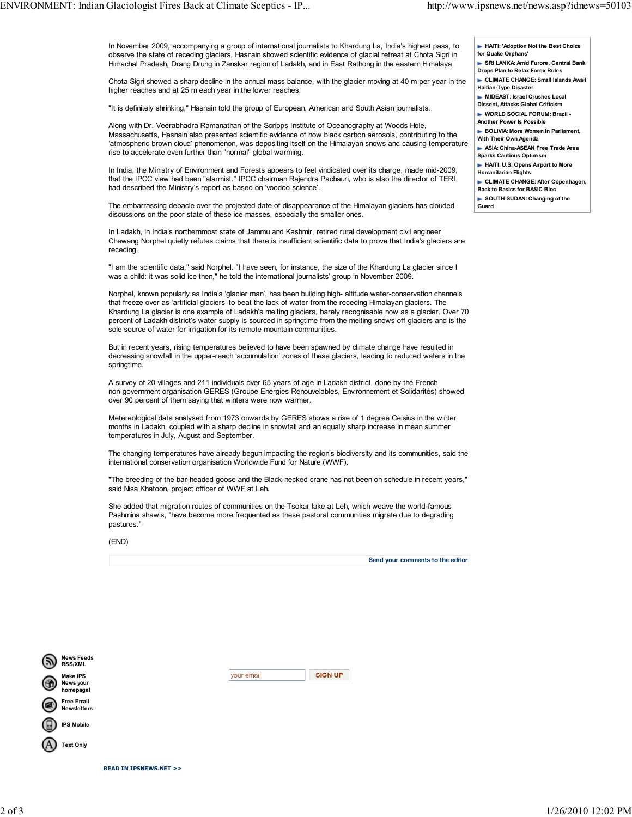In November 2009, accompanying a group of international journalists to Khardung La, India's highest pass, to observe the state of receding glaciers, Hasnain showed scientific evidence of glacial retreat at Chota Sigri in Himachal Pradesh, Drang Drung in Zanskar region of Ladakh, and in East Rathong in the eastern Himalaya.

Chota Sigri showed a sharp decline in the annual mass balance, with the glacier moving at 40 m per year in the higher reaches and at 25 m each year in the lower reaches.

"It is definitely shrinking," Hasnain told the group of European, American and South Asian journalists.

Along with Dr. Veerabhadra Ramanathan of the Scripps Institute of Oceanography at Woods Hole, Massachusetts, Hasnain also presented scientific evidence of how black carbon aerosols, contributing to the 'atmospheric brown cloud' phenomenon, was depositing itself on the Himalayan snows and causing temperature rise to accelerate even further than "normal" global warming.

In India, the Ministry of Environment and Forests appears to feel vindicated over its charge, made mid-2009, that the IPCC view had been "alarmist." IPCC chairman Rajendra Pachauri, who is also the director of TERI, had described the Ministry's report as based on 'voodoo science'.

The embarrassing debacle over the projected date of disappearance of the Himalayan glaciers has clouded discussions on the poor state of these ice masses, especially the smaller ones.

In Ladakh, in India's northernmost state of Jammu and Kashmir, retired rural development civil engineer Chewang Norphel quietly refutes claims that there is insufficient scientific data to prove that India's glaciers are receding.

"I am the scientific data," said Norphel. "I have seen, for instance, the size of the Khardung La glacier since I was a child: it was solid ice then," he told the international journalists' group in November 2009.

Norphel, known popularly as India's 'glacier man', has been building high- altitude water-conservation channels that freeze over as 'artificial glaciers' to beat the lack of water from the receding Himalayan glaciers. The Khardung La glacier is one example of Ladakh's melting glaciers, barely recognisable now as a glacier. Over 70 percent of Ladakh district's water supply is sourced in springtime from the melting snows off glaciers and is the sole source of water for irrigation for its remote mountain communities.

But in recent years, rising temperatures believed to have been spawned by climate change have resulted in decreasing snowfall in the upper-reach 'accumulation' zones of these glaciers, leading to reduced waters in the springtime.

A survey of 20 villages and 211 individuals over 65 years of age in Ladakh district, done by the French non-government organisation GERES (Groupe Energies Renouvelables, Environnement et Solidarités) showed over 90 percent of them saying that winters were now warmer.

Metereological data analysed from 1973 onwards by GERES shows a rise of 1 degree Celsius in the winter months in Ladakh, coupled with a sharp decline in snowfall and an equally sharp increase in mean summer temperatures in July, August and September.

The changing temperatures have already begun impacting the region's biodiversity and its communities, said the international conservation organisation Worldwide Fund for Nature (WWF).

"The breeding of the bar-headed goose and the Black-necked crane has not been on schedule in recent years," said Nisa Khatoon, project officer of WWF at Leh.

She added that migration routes of communities on the Tsokar lake at Leh, which weave the world-famous Pashmina shawls, "have become more frequented as these pastoral communities migrate due to degrading pastures."

(END)

Send your comments to the editor

| <b>News Feeds</b><br><b>RSS/XML</b>       |                                     |            |                |
|-------------------------------------------|-------------------------------------|------------|----------------|
| <b>Make IPS</b><br>News your<br>homepage! |                                     | your email | <b>SIGN UP</b> |
| <b>Free Email</b><br><b>Newsletters</b>   |                                     |            |                |
| <b>IPS Mobile</b>                         |                                     |            |                |
| <b>Text Only</b>                          |                                     |            |                |
|                                           | <b>READ IN IPSNEWS.NET &gt;&gt;</b> |            |                |

- HAITI: 'Adoption Not the Best Choice for Quake Orphans' SRI LANKA: Amid Furore, Central Bank Drops Plan to Relax Forex Rules
- CLIMATE CHANGE: Small Islands Await Haitian-Type Disaster
- **MIDEAST: Israel Crushes Local**
- Dissent, Attacks Global Criticism
- WORLD SOCIAL FORUM: Brazil -
- Another Power Is Possible
- **BOLIVIA: More Women in Parliament.**
- With Their Own Agenda ASIA: China-ASEAN Free Trade Area
- Sparks Cautious Optimism
- **HAITI: U.S. Opens Airport to More**
- Humanitarian Flights
- CLIMATE CHANGE: After Copenhagen, Back to Basics for BASIC Bloc
- SOUTH SUDAN: Changing of the Guard